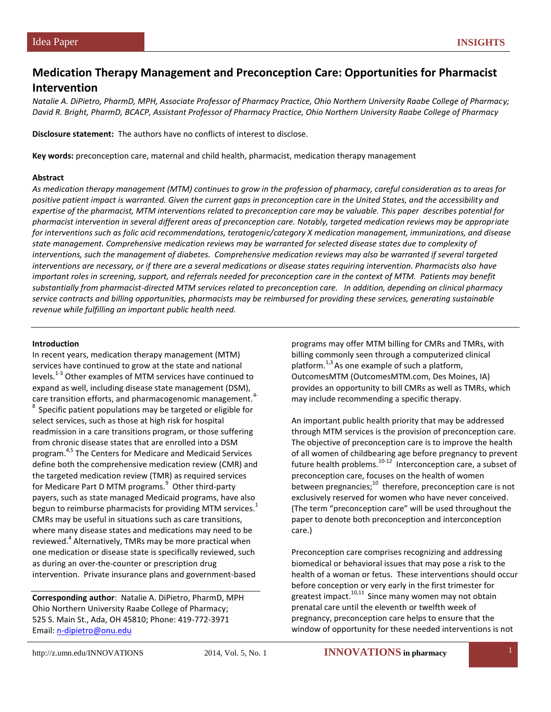## **Medication Therapy Management and Preconception Care: Opportunities for Pharmacist Intervention**

*Natalie A. DiPietro, PharmD, MPH, Associate Professor of Pharmacy Practice, Ohio Northern University Raabe College of Pharmacy; David R. Bright, PharmD, BCACP, Assistant Professor of Pharmacy Practice, Ohio Northern University Raabe College of Pharmacy*

**Disclosure statement:** The authors have no conflicts of interest to disclose.

**Key words:** preconception care, maternal and child health, pharmacist, medication therapy management

#### **Abstract**

*As medication therapy management (MTM) continues to grow in the profession of pharmacy, careful consideration as to areas for positive patient impact is warranted. Given the current gaps in preconception care in the United States, and the accessibility and expertise of the pharmacist, MTM interventions related to preconception care may be valuable. This paper describes potential for pharmacist intervention in several different areas of preconception care. Notably, targeted medication reviews may be appropriate for interventions such as folic acid recommendations, teratogenic/category X medication management, immunizations, and disease state management. Comprehensive medication reviews may be warranted for selected disease states due to complexity of interventions, such the management of diabetes. Comprehensive medication reviews may also be warranted if several targeted interventions are necessary, or if there are a several medications or disease states requiring intervention. Pharmacists also have important roles in screening, support, and referrals needed for preconception care in the context of MTM. Patients may benefit substantially from pharmacist-directed MTM services related to preconception care. In addition, depending on clinical pharmacy service contracts and billing opportunities, pharmacists may be reimbursed for providing these services, generating sustainable revenue while fulfilling an important public health need.*

#### **Introduction**

In recent years, medication therapy management (MTM) services have continued to grow at the state and national levels.<sup>1-3</sup> Other examples of MTM services have continued to expand as well, including disease state management (DSM), care transition efforts, and pharmacogenomic management.<sup>4</sup> Specific patient populations may be targeted or eligible for select services, such as those at high risk for hospital readmission in a care transitions program, or those suffering from chronic disease states that are enrolled into a DSM program. 4,5 The Centers for Medicare and Medicaid Services define both the comprehensive medication review (CMR) and the targeted medication review (TMR) as required services for Medicare Part D MTM programs.<sup>9</sup> Other third-party payers, such as state managed Medicaid programs, have also begun to reimburse pharmacists for providing MTM services.<sup>1</sup> CMRs may be useful in situations such as care transitions, where many disease states and medications may need to be reviewed.<sup>4</sup> Alternatively, TMRs may be more practical when one medication or disease state is specifically reviewed, such as during an over-the-counter or prescription drug intervention. Private insurance plans and government-based

**Corresponding author**: Natalie A. DiPietro, PharmD, MPH Ohio Northern University Raabe College of Pharmacy; 525 S. Main St., Ada, OH 45810; Phone: 419-772-3971 Email: [n-dipietro@onu.edu](mailto:n-dipietro@onu.edu) 

programs may offer MTM billing for CMRs and TMRs, with billing commonly seen through a computerized clinical platform.<sup>1,3</sup> As one example of such a platform, OutcomesMTM (OutcomesMTM.com, Des Moines, IA) provides an opportunity to bill CMRs as well as TMRs, which may include recommending a specific therapy.

An important public health priority that may be addressed through MTM services is the provision of preconception care. The objective of preconception care is to improve the health of all women of childbearing age before pregnancy to prevent future health problems. $^{10-12}$  Interconception care, a subset of preconception care, focuses on the health of women between pregnancies; $^{10}$  therefore, preconception care is not exclusively reserved for women who have never conceived. (The term "preconception care" will be used throughout the paper to denote both preconception and interconception care.)

Preconception care comprises recognizing and addressing biomedical or behavioral issues that may pose a risk to the health of a woman or fetus. These interventions should occur before conception or very early in the first trimester for greatest impact. $10,11$  Since many women may not obtain prenatal care until the eleventh or twelfth week of pregnancy, preconception care helps to ensure that the window of opportunity for these needed interventions is not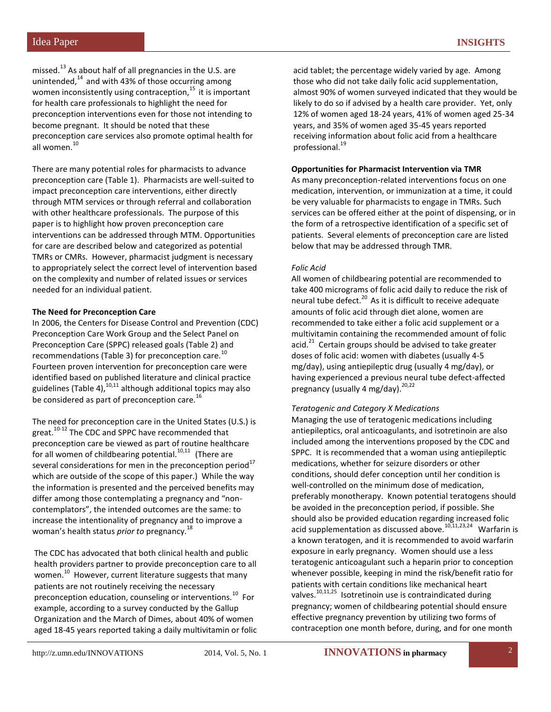missed.<sup>13</sup> As about half of all pregnancies in the U.S. are unintended, $14$  and with 43% of those occurring among women inconsistently using contraception, $15$  it is important for health care professionals to highlight the need for preconception interventions even for those not intending to become pregnant. It should be noted that these preconception care services also promote optimal health for all women.<sup>10</sup>

There are many potential roles for pharmacists to advance preconception care (Table 1). Pharmacists are well-suited to impact preconception care interventions, either directly through MTM services or through referral and collaboration with other healthcare professionals. The purpose of this paper is to highlight how proven preconception care interventions can be addressed through MTM. Opportunities for care are described below and categorized as potential TMRs or CMRs. However, pharmacist judgment is necessary to appropriately select the correct level of intervention based on the complexity and number of related issues or services needed for an individual patient.

## **The Need for Preconception Care**

In 2006, the Centers for Disease Control and Prevention (CDC) Preconception Care Work Group and the Select Panel on Preconception Care (SPPC) released goals (Table 2) and recommendations (Table 3) for preconception care.<sup>10</sup> Fourteen proven intervention for preconception care were identified based on published literature and clinical practice guidelines  $(Table 4)$ ,  $^{10,11}$  although additional topics may also be considered as part of preconception care.<sup>16</sup>

The need for preconception care in the United States (U.S.) is great.<sup>10-12</sup> The CDC and SPPC have recommended that preconception care be viewed as part of routine healthcare for all women of childbearing potential.<sup>10,11</sup> (There are several considerations for men in the preconception period $17$ which are outside of the scope of this paper.) While the way the information is presented and the perceived benefits may differ among those contemplating a pregnancy and "noncontemplators", the intended outcomes are the same: to increase the intentionality of pregnancy and to improve a woman's health status *prior to* pregnancy. 18

The CDC has advocated that both clinical health and public health providers partner to provide preconception care to all women. <sup>10</sup>However, current literature suggests that many patients are not routinely receiving the necessary preconception education, counseling or interventions.<sup>10</sup> For example, according to a survey conducted by the Gallup Organization and the March of Dimes, about 40% of women aged 18-45 years reported taking a daily multivitamin or folic

acid tablet; the percentage widely varied by age. Among those who did not take daily folic acid supplementation, almost 90% of women surveyed indicated that they would be likely to do so if advised by a health care provider. Yet, only 12% of women aged 18-24 years, 41% of women aged 25-34 years, and 35% of women aged 35-45 years reported receiving information about folic acid from a healthcare professional.<sup>19</sup>

## **Opportunities for Pharmacist Intervention via TMR**

As many preconception-related interventions focus on one medication, intervention, or immunization at a time, it could be very valuable for pharmacists to engage in TMRs. Such services can be offered either at the point of dispensing, or in the form of a retrospective identification of a specific set of patients. Several elements of preconception care are listed below that may be addressed through TMR.

## *Folic Acid*

All women of childbearing potential are recommended to take 400 micrograms of folic acid daily to reduce the risk of neural tube defect. $^{20}$  As it is difficult to receive adequate amounts of folic acid through diet alone, women are recommended to take either a folic acid supplement or a multivitamin containing the recommended amount of folic acid.<sup>21</sup> Certain groups should be advised to take greater doses of folic acid: women with diabetes (usually 4-5 mg/day), using antiepileptic drug (usually 4 mg/day), or having experienced a previous neural tube defect-affected pregnancy (usually 4 mg/day).<sup>20,22</sup>

### *Teratogenic and Category X Medications*

Managing the use of teratogenic medications including antiepileptics, oral anticoagulants, and isotretinoin are also included among the interventions proposed by the CDC and SPPC. It is recommended that a woman using antiepileptic medications, whether for seizure disorders or other conditions, should defer conception until her condition is well-controlled on the minimum dose of medication, preferably monotherapy. Known potential teratogens should be avoided in the preconception period, if possible. She should also be provided education regarding increased folic acid supplementation as discussed above.<sup>10,11,23,24</sup> Warfarin is a known teratogen, and it is recommended to avoid warfarin exposure in early pregnancy. Women should use a less teratogenic anticoagulant such a heparin prior to conception whenever possible, keeping in mind the risk/benefit ratio for patients with certain conditions like mechanical heart valves.<sup>10,11,25</sup> Isotretinoin use is contraindicated during pregnancy; women of childbearing potential should ensure effective pregnancy prevention by utilizing two forms of contraception one month before, during, and for one month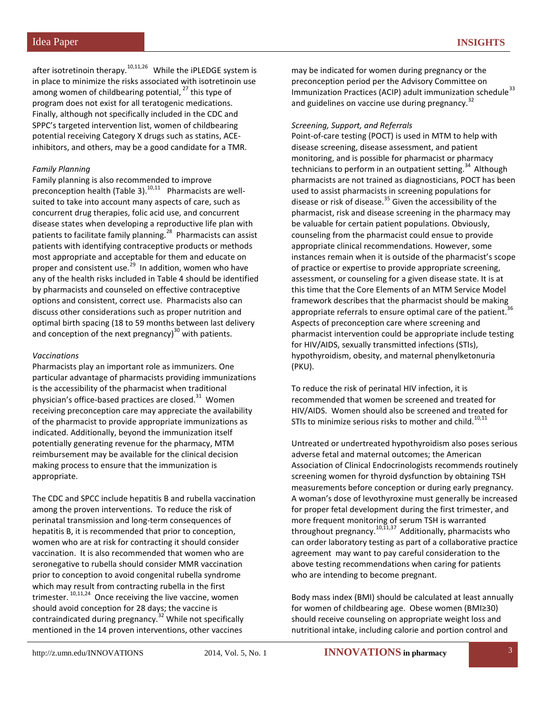after isotretinoin therapy.<sup>10,11,26</sup> While the iPLEDGE system is in place to minimize the risks associated with isotretinoin use among women of childbearing potential,  $27$  this type of program does not exist for all teratogenic medications. Finally, although not specifically included in the CDC and SPPC's targeted intervention list, women of childbearing potential receiving Category X drugs such as statins, ACEinhibitors, and others, may be a good candidate for a TMR.

#### *Family Planning*

Family planning is also recommended to improve preconception health (Table 3). $^{10,11}$  Pharmacists are wellsuited to take into account many aspects of care, such as concurrent drug therapies, folic acid use, and concurrent disease states when developing a reproductive life plan with patients to facilitate family planning.<sup>28</sup> Pharmacists can assist patients with identifying contraceptive products or methods most appropriate and acceptable for them and educate on proper and consistent use.<sup>29</sup> In addition, women who have any of the health risks included in Table 4 should be identified by pharmacists and counseled on effective contraceptive options and consistent, correct use. Pharmacists also can discuss other considerations such as proper nutrition and optimal birth spacing (18 to 59 months between last delivery and conception of the next pregnancy $^{30}$  with patients.

#### *Vaccinations*

Pharmacists play an important role as immunizers. One particular advantage of pharmacists providing immunizations is the accessibility of the pharmacist when traditional physician's office-based practices are closed. $31$  Women receiving preconception care may appreciate the availability of the pharmacist to provide appropriate immunizations as indicated. Additionally, beyond the immunization itself potentially generating revenue for the pharmacy, MTM reimbursement may be available for the clinical decision making process to ensure that the immunization is appropriate.

The CDC and SPCC include hepatitis B and rubella vaccination among the proven interventions. To reduce the risk of perinatal transmission and long-term consequences of hepatitis B, it is recommended that prior to conception, women who are at risk for contracting it should consider vaccination. It is also recommended that women who are seronegative to rubella should consider MMR vaccination prior to conception to avoid congenital rubella syndrome which may result from contracting rubella in the first trimester. <sup>10,11,24</sup> Once receiving the live vaccine, women should avoid conception for 28 days; the vaccine is contraindicated during pregnancy.<sup>32</sup> While not specifically mentioned in the 14 proven interventions, other vaccines

may be indicated for women during pregnancy or the preconception period per the Advisory Committee on Immunization Practices (ACIP) adult immunization schedule $^{33}$ and guidelines on vaccine use during pregnancy.<sup>32</sup>

#### *Screening, Support, and Referrals*

Point-of-care testing (POCT) is used in MTM to help with disease screening, disease assessment, and patient monitoring, and is possible for pharmacist or pharmacy technicians to perform in an outpatient setting.<sup>34</sup> Although pharmacists are not trained as diagnosticians, POCT has been used to assist pharmacists in screening populations for disease or risk of disease.<sup>35</sup> Given the accessibility of the pharmacist, risk and disease screening in the pharmacy may be valuable for certain patient populations. Obviously, counseling from the pharmacist could ensue to provide appropriate clinical recommendations. However, some instances remain when it is outside of the pharmacist's scope of practice or expertise to provide appropriate screening, assessment, or counseling for a given disease state. It is at this time that the Core Elements of an MTM Service Model framework describes that the pharmacist should be making appropriate referrals to ensure optimal care of the patient.<sup>36</sup> Aspects of preconception care where screening and pharmacist intervention could be appropriate include testing for HIV/AIDS, sexually transmitted infections (STIs), hypothyroidism, obesity, and maternal phenylketonuria (PKU).

To reduce the risk of perinatal HIV infection, it is recommended that women be screened and treated for HIV/AIDS. Women should also be screened and treated for STIs to minimize serious risks to mother and child.<sup>10,11</sup>

Untreated or undertreated hypothyroidism also poses serious adverse fetal and maternal outcomes; the American Association of Clinical Endocrinologists recommends routinely screening women for thyroid dysfunction by obtaining TSH measurements before conception or during early pregnancy. A woman's dose of levothyroxine must generally be increased for proper fetal development during the first trimester, and more frequent monitoring of serum TSH is warranted throughout pregnancy.<sup>10,11,37</sup> Additionally, pharmacists who can order laboratory testing as part of a collaborative practice agreement may want to pay careful consideration to the above testing recommendations when caring for patients who are intending to become pregnant.

Body mass index (BMI) should be calculated at least annually for women of childbearing age. Obese women (BMI≥30) should receive counseling on appropriate weight loss and nutritional intake, including calorie and portion control and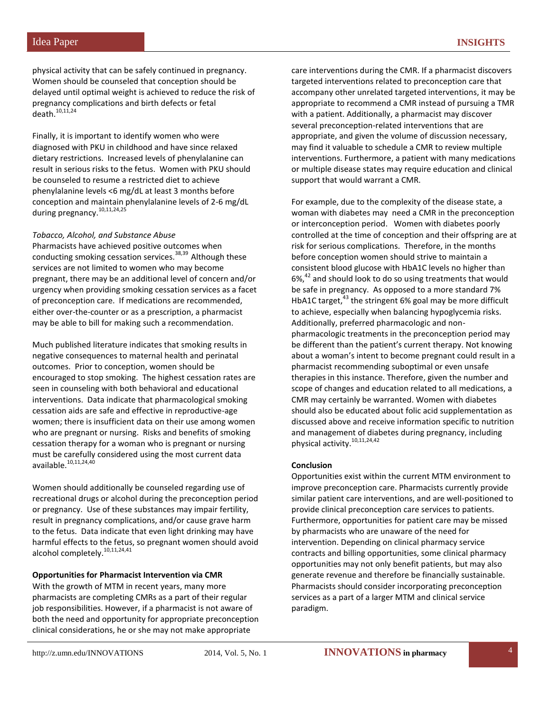physical activity that can be safely continued in pregnancy. Women should be counseled that conception should be delayed until optimal weight is achieved to reduce the risk of pregnancy complications and birth defects or fetal death. $10,11,24$ 

Finally, it is important to identify women who were diagnosed with PKU in childhood and have since relaxed dietary restrictions. Increased levels of phenylalanine can result in serious risks to the fetus. Women with PKU should be counseled to resume a restricted diet to achieve phenylalanine levels <6 mg/dL at least 3 months before conception and maintain phenylalanine levels of 2-6 mg/dL during pregnancy.<sup>10,11,24,25</sup>

#### *Tobacco, Alcohol, and Substance Abuse*

Pharmacists have achieved positive outcomes when conducting smoking cessation services.<sup>38,39</sup> Although these services are not limited to women who may become pregnant, there may be an additional level of concern and/or urgency when providing smoking cessation services as a facet of preconception care. If medications are recommended, either over-the-counter or as a prescription, a pharmacist may be able to bill for making such a recommendation.

Much published literature indicates that smoking results in negative consequences to maternal health and perinatal outcomes. Prior to conception, women should be encouraged to stop smoking. The highest cessation rates are seen in counseling with both behavioral and educational interventions. Data indicate that pharmacological smoking cessation aids are safe and effective in reproductive-age women; there is insufficient data on their use among women who are pregnant or nursing. Risks and benefits of smoking cessation therapy for a woman who is pregnant or nursing must be carefully considered using the most current data  $a$ vailable. $10,11,24,40$ 

Women should additionally be counseled regarding use of recreational drugs or alcohol during the preconception period or pregnancy. Use of these substances may impair fertility, result in pregnancy complications, and/or cause grave harm to the fetus. Data indicate that even light drinking may have harmful effects to the fetus, so pregnant women should avoid alcohol completely.<sup>10,11,24,41</sup>

#### **Opportunities for Pharmacist Intervention via CMR**

With the growth of MTM in recent years, many more pharmacists are completing CMRs as a part of their regular job responsibilities. However, if a pharmacist is not aware of both the need and opportunity for appropriate preconception clinical considerations, he or she may not make appropriate

care interventions during the CMR. If a pharmacist discovers targeted interventions related to preconception care that accompany other unrelated targeted interventions, it may be appropriate to recommend a CMR instead of pursuing a TMR with a patient. Additionally, a pharmacist may discover several preconception-related interventions that are appropriate, and given the volume of discussion necessary, may find it valuable to schedule a CMR to review multiple interventions. Furthermore, a patient with many medications or multiple disease states may require education and clinical support that would warrant a CMR.

For example, due to the complexity of the disease state, a woman with diabetes may need a CMR in the preconception or interconception period. Women with diabetes poorly controlled at the time of conception and their offspring are at risk for serious complications. Therefore, in the months before conception women should strive to maintain a consistent blood glucose with HbA1C levels no higher than  $6\%$ <sup>42</sup> and should look to do so using treatments that would be safe in pregnancy. As opposed to a more standard 7% HbA1C target, $43$  the stringent 6% goal may be more difficult to achieve, especially when balancing hypoglycemia risks. Additionally, preferred pharmacologic and nonpharmacologic treatments in the preconception period may be different than the patient's current therapy. Not knowing about a woman's intent to become pregnant could result in a pharmacist recommending suboptimal or even unsafe therapies in this instance. Therefore, given the number and scope of changes and education related to all medications, a CMR may certainly be warranted. Women with diabetes should also be educated about folic acid supplementation as discussed above and receive information specific to nutrition and management of diabetes during pregnancy, including physical activity.<sup>10,11,24,42</sup>

#### **Conclusion**

Opportunities exist within the current MTM environment to improve preconception care. Pharmacists currently provide similar patient care interventions, and are well-positioned to provide clinical preconception care services to patients. Furthermore, opportunities for patient care may be missed by pharmacists who are unaware of the need for intervention. Depending on clinical pharmacy service contracts and billing opportunities, some clinical pharmacy opportunities may not only benefit patients, but may also generate revenue and therefore be financially sustainable. Pharmacists should consider incorporating preconception services as a part of a larger MTM and clinical service paradigm.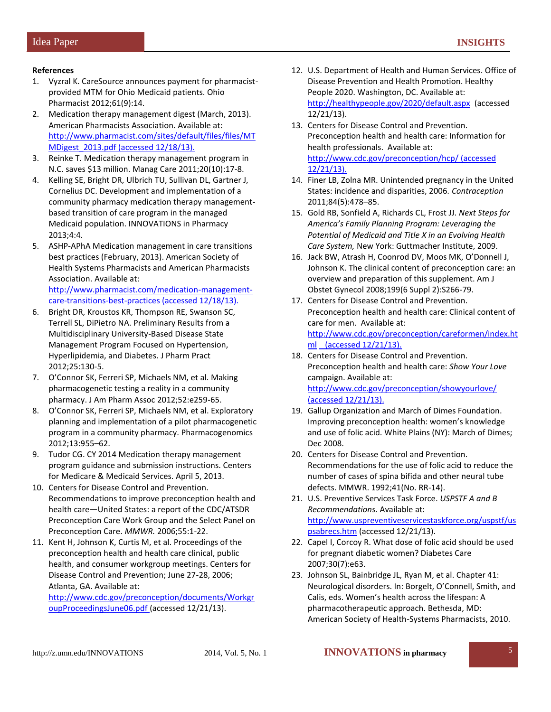## **References**

- 1. Vyzral K. CareSource announces payment for pharmacistprovided MTM for Ohio Medicaid patients. Ohio Pharmacist 2012;61(9):14.
- 2. Medication therapy management digest (March, 2013). American Pharmacists Association. Available at: [http://www.pharmacist.com/sites/default/files/files/MT](http://www.pharmacist.com/sites/default/files/files/MTMDigest_2013.pdf) [MDigest\\_2013.pdf](http://www.pharmacist.com/sites/default/files/files/MTMDigest_2013.pdf) (accessed 12/18/13).
- 3. Reinke T. Medication therapy management program in N.C. saves \$13 million. Manag Care 2011;20(10):17-8.
- 4. Kelling SE, Bright DR, Ulbrich TU, Sullivan DL, Gartner J, Cornelius DC. Development and implementation of a community pharmacy medication therapy managementbased transition of care program in the managed Medicaid population. INNOVATIONS in Pharmacy 2013;4:4.
- 5. ASHP-APhA Medication management in care transitions best practices (February, 2013). American Society of Health Systems Pharmacists and American Pharmacists Association. Available at: [http://www.pharmacist.com/medication-management-](http://www.pharmacist.com/medication-management-care-transitions-best-practices)

[care-transitions-best-practices](http://www.pharmacist.com/medication-management-care-transitions-best-practices) (accessed 12/18/13).

- 6. Bright DR, Kroustos KR, Thompson RE, Swanson SC, Terrell SL, DiPietro NA. Preliminary Results from a Multidisciplinary University-Based Disease State Management Program Focused on Hypertension, Hyperlipidemia, and Diabetes. J Pharm Pract 2012;25:130-5.
- 7. O'Connor SK, Ferreri SP, Michaels NM, et al. Making pharmacogenetic testing a reality in a community pharmacy. J Am Pharm Assoc 2012;52:e259-65.
- 8. O'Connor SK, Ferreri SP, Michaels NM, et al. Exploratory planning and implementation of a pilot pharmacogenetic program in a community pharmacy. Pharmacogenomics 2012;13:955–62.
- 9. Tudor CG. CY 2014 Medication therapy management program guidance and submission instructions. Centers for Medicare & Medicaid Services. April 5, 2013.
- 10. Centers for Disease Control and Prevention. Recommendations to improve preconception health and health care—United States: a report of the CDC/ATSDR Preconception Care Work Group and the Select Panel on Preconception Care. *MMWR.* 2006;55:1-22.
- 11. Kent H, Johnson K, Curtis M, et al. Proceedings of the preconception health and health care clinical, public health, and consumer workgroup meetings. Centers for Disease Control and Prevention; June 27-28, 2006; Atlanta, GA. Available at:

[http://www.cdc.gov/preconception/documents/Workgr](http://www.cdc.gov/preconception/documents/WorkgroupProceedingsJune06.pdf) [oupProceedingsJune06.pdf](http://www.cdc.gov/preconception/documents/WorkgroupProceedingsJune06.pdf) (accessed 12/21/13).

- 12. U.S. Department of Health and Human Services. Office of Disease Prevention and Health Promotion. Healthy People 2020. Washington, DC. Available at: <http://healthypeople.gov/2020/default.aspx>(accessed 12/21/13).
- 13. Centers for Disease Control and Prevention. Preconception health and health care: Information for health professionals. Available at: <http://www.cdc.gov/preconception/hcp/> (accessed 12/21/13).
- 14. Finer LB, Zolna MR. Unintended pregnancy in the United States: incidence and disparities, 2006*. Contraception* 2011;84(5):478–85.
- 15. Gold RB, Sonfield A, Richards CL, Frost JJ. *Next Steps for America's Family Planning Program: Leveraging the Potential of Medicaid and Title X in an Evolving Health Care System,* New York: Guttmacher Institute, 2009.
- 16. Jack BW, Atrash H, Coonrod DV, Moos MK, O'Donnell J, Johnson K. The clinical content of preconception care: an overview and preparation of this supplement. Am J Obstet Gynecol 2008;199(6 Suppl 2):S266-79.
- 17. Centers for Disease Control and Prevention. Preconception health and health care: Clinical content of care for men. Available at: [http://www.cdc.gov/preconception/careformen/index.ht](http://www.cdc.gov/preconception/careformen/index.html) [ml](http://www.cdc.gov/preconception/careformen/index.html) (accessed 12/21/13).
- 18. Centers for Disease Control and Prevention. Preconception health and health care: *Show Your Love* campaign. Available at: <http://www.cdc.gov/preconception/showyourlove/> (accessed 12/21/13).
- 19. Gallup Organization and March of Dimes Foundation. Improving preconception health: women's knowledge and use of folic acid. White Plains (NY): March of Dimes; Dec 2008.
- 20. Centers for Disease Control and Prevention. Recommendations for the use of folic acid to reduce the number of cases of spina bifida and other neural tube defects. MMWR. 1992;41(No. RR-14).
- 21. U.S. Preventive Services Task Force. *USPSTF A and B Recommendations.* Available at: [http://www.uspreventiveservicestaskforce.org/uspstf/us](http://www.uspreventiveservicestaskforce.org/uspstf/uspsabrecs.htm) [psabrecs.htm](http://www.uspreventiveservicestaskforce.org/uspstf/uspsabrecs.htm) (accessed 12/21/13).
- 22. Capel I, Corcoy R. What dose of folic acid should be used for pregnant diabetic women? Diabetes Care 2007;30(7):e63.
- 23. Johnson SL, Bainbridge JL, Ryan M, et al. Chapter 41: Neurological disorders. In: Borgelt, O'Connell, Smith, and Calis, eds. Women's health across the lifespan: A pharmacotherapeutic approach. Bethesda, MD: American Society of Health-Systems Pharmacists, 2010.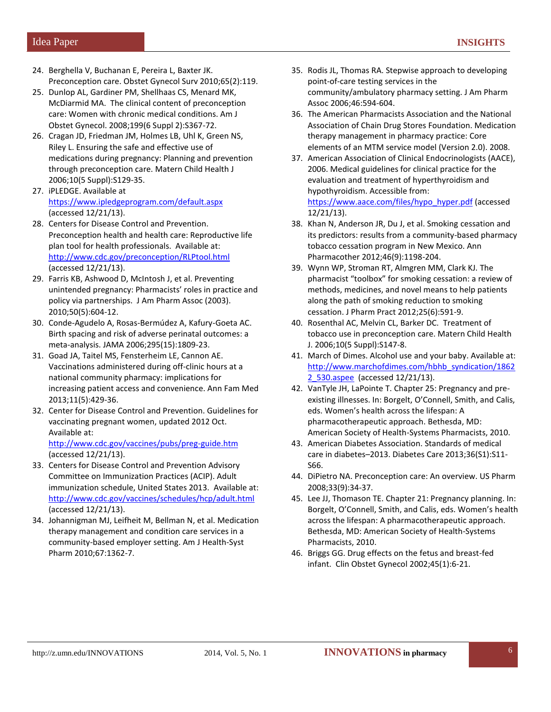- 24. Berghella V, Buchanan E, Pereira L, Baxter JK. Preconception care. Obstet Gynecol Surv 2010;65(2):119.
- 25. Dunlop AL, Gardiner PM, Shellhaas CS, Menard MK, McDiarmid MA. The clinical content of preconception care: Women with chronic medical conditions. Am J Obstet Gynecol. 2008;199(6 Suppl 2):S367-72.
- 26. Cragan JD, Friedman JM, Holmes LB, Uhl K, Green NS, Riley L. Ensuring the safe and effective use of medications during pregnancy: Planning and prevention through preconception care. Matern Child Health J 2006;10(5 Suppl):S129-35.
- 27. iPLEDGE. Available at <https://www.ipledgeprogram.com/default.aspx> (accessed 12/21/13).
- 28. Centers for Disease Control and Prevention. Preconception health and health care: Reproductive life plan tool for health professionals. Available at: <http://www.cdc.gov/preconception/RLPtool.html> (accessed 12/21/13).
- 29. Farris KB, Ashwood D, McIntosh J, et al. Preventing unintended pregnancy: Pharmacists' roles in practice and policy via partnerships. J Am Pharm Assoc (2003). 2010;50(5):604-12.
- 30. Conde-Agudelo A, Rosas-Bermúdez A, Kafury-Goeta AC. Birth spacing and risk of adverse perinatal outcomes: a meta-analysis. JAMA 2006;295(15):1809-23.
- 31. Goad JA, Taitel MS, Fensterheim LE, Cannon AE. Vaccinations administered during off-clinic hours at a national community pharmacy: implications for increasing patient access and convenience. Ann Fam Med 2013;11(5):429-36.
- 32. Center for Disease Control and Prevention. Guidelines for vaccinating pregnant women, updated 2012 Oct. Available at:

<http://www.cdc.gov/vaccines/pubs/preg-guide.htm> (accessed 12/21/13).

- 33. Centers for Disease Control and Prevention Advisory Committee on Immunization Practices (ACIP). Adult immunization schedule, United States 2013. Available at: <http://www.cdc.gov/vaccines/schedules/hcp/adult.html> (accessed 12/21/13).
- 34. Johannigman MJ, Leifheit M, Bellman N, et al. Medication therapy management and condition care services in a community-based employer setting. Am J Health-Syst Pharm 2010;67:1362-7.
- 35. Rodis JL, Thomas RA. Stepwise approach to developing point-of-care testing services in the community/ambulatory pharmacy setting. J Am Pharm Assoc 2006;46:594-604.
- 36. The American Pharmacists Association and the National Association of Chain Drug Stores Foundation. Medication therapy management in pharmacy practice: Core elements of an MTM service model (Version 2.0). 2008.
- 37. American Association of Clinical Endocrinologists (AACE), 2006. Medical guidelines for clinical practice for the evaluation and treatment of hyperthyroidism and hypothyroidism. Accessible from: [https://www.aace.com/files/hypo\\_hyper.pdf](https://www.aace.com/files/hypo_hyper.pdf) (accessed 12/21/13).
- 38. Khan N, Anderson JR, Du J, et al. Smoking cessation and its predictors: results from a community-based pharmacy tobacco cessation program in New Mexico. Ann Pharmacother 2012;46(9):1198-204.
- 39. Wynn WP, Stroman RT, Almgren MM, Clark KJ. The pharmacist "toolbox" for smoking cessation: a review of methods, medicines, and novel means to help patients along the path of smoking reduction to smoking cessation. J Pharm Pract 2012;25(6):591-9.
- 40. Rosenthal AC, Melvin CL, Barker DC. Treatment of tobacco use in preconception care. Matern Child Health J. 2006;10(5 Suppl):S147-8.
- 41. March of Dimes. Alcohol use and your baby. Available at: [http://www.marchofdimes.com/hbhb\\_syndication/1862](http://www.marchofdimes.com/hbhb_syndication/18622_530.aspee) [2\\_530.aspee](http://www.marchofdimes.com/hbhb_syndication/18622_530.aspee) (accessed 12/21/13).
- 42. VanTyle JH, LaPointe T. Chapter 25: Pregnancy and preexisting illnesses. In: Borgelt, O'Connell, Smith, and Calis, eds. Women's health across the lifespan: A pharmacotherapeutic approach. Bethesda, MD: American Society of Health-Systems Pharmacists, 2010.
- 43. American Diabetes Association. Standards of medical care in diabetes–2013. Diabetes Care 2013;36(S1):S11- S66.
- 44. DiPietro NA. Preconception care: An overview. US Pharm 2008;33(9):34-37.
- 45. Lee JJ, Thomason TE. Chapter 21: Pregnancy planning. In: Borgelt, O'Connell, Smith, and Calis, eds. Women's health across the lifespan: A pharmacotherapeutic approach. Bethesda, MD: American Society of Health-Systems Pharmacists, 2010.
- 46. Briggs GG. Drug effects on the fetus and breast-fed infant. Clin Obstet Gynecol 2002;45(1):6-21.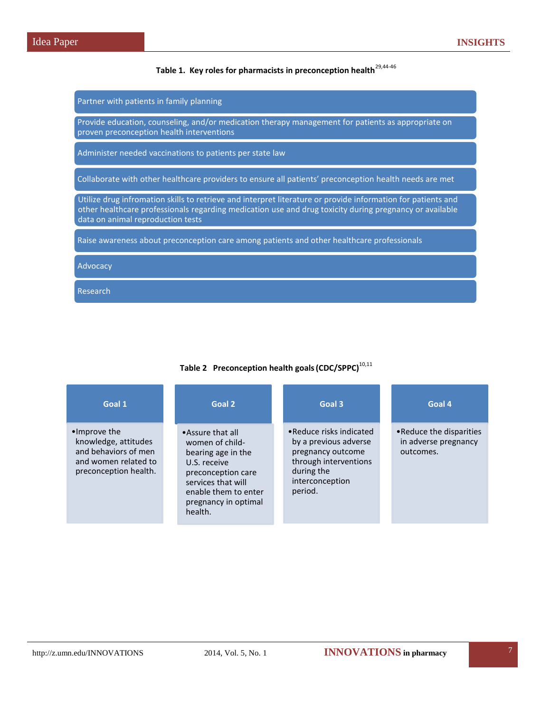# **Table 1. Key roles for pharmacists in preconception health**29,44-46

Partner with patients in family planning

Provide education, counseling, and/or medication therapy management for patients as appropriate on proven preconception health interventions

Administer needed vaccinations to patients per state law

Collaborate with other healthcare providers to ensure all patients' preconception health needs are met

Utilize drug infromation skills to retrieve and interpret literature or provide information for patients and other healthcare professionals regarding medication use and drug toxicity during pregnancy or available data on animal reproduction tests

Raise awareness about preconception care among patients and other healthcare professionals

Advocacy

Research

| Goal 1                                                                                                        | Goal 2                                                                                                                                                                           | Goal 3                                                                                                                                      | Goal 4                                                        |
|---------------------------------------------------------------------------------------------------------------|----------------------------------------------------------------------------------------------------------------------------------------------------------------------------------|---------------------------------------------------------------------------------------------------------------------------------------------|---------------------------------------------------------------|
| •Improve the<br>knowledge, attitudes<br>and behaviors of men<br>and women related to<br>preconception health. | •Assure that all<br>women of child-<br>bearing age in the<br>U.S. receive<br>preconception care<br>services that will<br>enable them to enter<br>pregnancy in optimal<br>health. | • Reduce risks indicated<br>by a previous adverse<br>pregnancy outcome<br>through interventions<br>during the<br>interconception<br>period. | • Reduce the disparities<br>in adverse pregnancy<br>outcomes. |

## **Table 2 Preconception health goals(CDC/SPPC)**10,11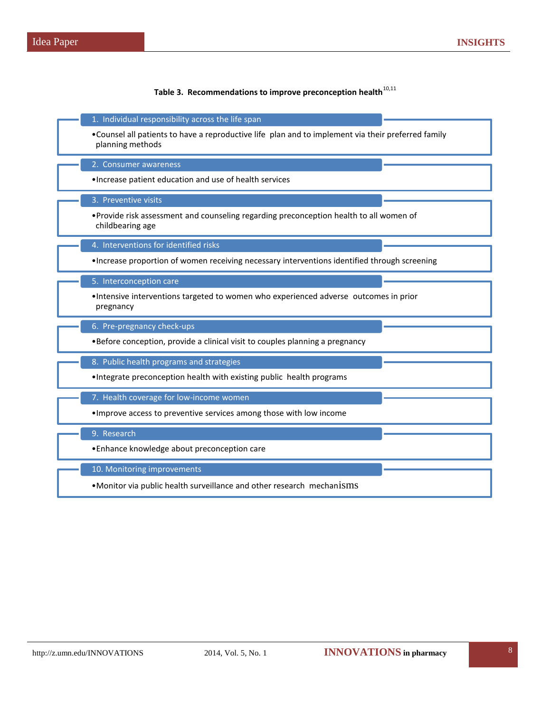Table 3. Recommendations to improve preconception health<sup>10,11</sup>

| 1. Individual responsibility across the life span                                                                       |  |  |
|-------------------------------------------------------------------------------------------------------------------------|--|--|
| • Counsel all patients to have a reproductive life plan and to implement via their preferred family<br>planning methods |  |  |
| 2. Consumer awareness                                                                                                   |  |  |
| . Increase patient education and use of health services                                                                 |  |  |
| 3. Preventive visits                                                                                                    |  |  |
| • Provide risk assessment and counseling regarding preconception health to all women of<br>childbearing age             |  |  |
| 4. Interventions for identified risks                                                                                   |  |  |
| . Increase proportion of women receiving necessary interventions identified through screening                           |  |  |
| 5. Interconception care                                                                                                 |  |  |
| •Intensive interventions targeted to women who experienced adverse outcomes in prior<br>pregnancy                       |  |  |
| 6. Pre-pregnancy check-ups                                                                                              |  |  |
| •Before conception, provide a clinical visit to couples planning a pregnancy                                            |  |  |
| 8. Public health programs and strategies                                                                                |  |  |
| . Integrate preconception health with existing public health programs                                                   |  |  |
| 7. Health coverage for low-income women                                                                                 |  |  |
| . Improve access to preventive services among those with low income                                                     |  |  |
| 9. Research                                                                                                             |  |  |
| • Enhance knowledge about preconception care                                                                            |  |  |
| 10. Monitoring improvements                                                                                             |  |  |
| •Monitor via public health surveillance and other research mechanisms                                                   |  |  |

ı